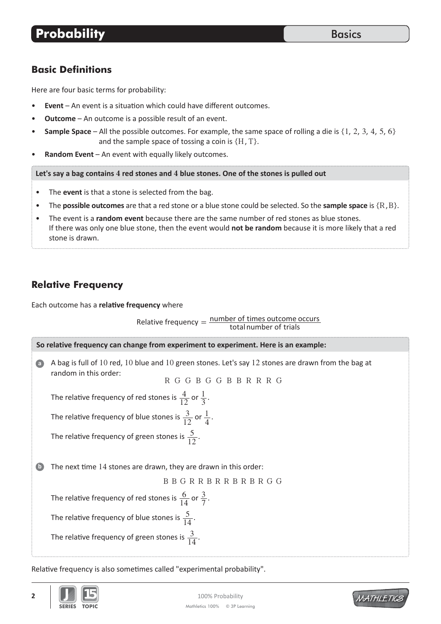#### **Basic Definitions**

Here are four basic terms for probability:

- **Event** An event is a situation which could have different outcomes.
- **Outcome** An outcome is a possible result of an event.
- **Sample Space** All the possible outcomes. For example, the same space of rolling a die is {1, 2, 3, 4, 5, 6} and the sample space of tossing a coin is  $\{H, T\}$ .
- Random Event An event with equally likely outcomes.

Let's say a bag contains 4 red stones and 4 blue stones. One of the stones is pulled out

- The **event** is that a stone is selected from the bag.
- The **possible outcomes** are that a red stone or a blue stone could be selected. So the **sample space** is  $\{R, B\}$ .
- The event is a **random event** because there are the same number of red stones as blue stones. If there was only one blue stone, then the event would not be random because it is more likely that a red stone is drawn.

# **Relative Frequency**

Each outcome has a relative frequency where

Relative frequency  $=$   $\frac{\text{number of times outcome occurs}}{\text{total number of trials}}$ 



Relative frequency is also sometimes called "experimental probability".



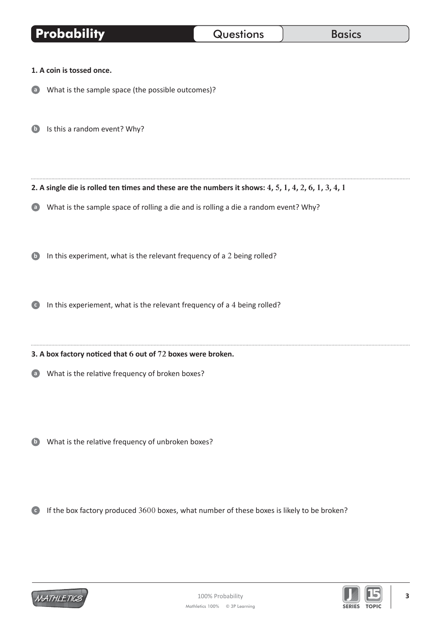| <b>Probability</b>                             |                                                                                                                                                                | Questions | <b>Basics</b> |
|------------------------------------------------|----------------------------------------------------------------------------------------------------------------------------------------------------------------|-----------|---------------|
| 1. A coin is tossed once.                      |                                                                                                                                                                |           |               |
| $\mathbf{a}$                                   | What is the sample space (the possible outcomes)?                                                                                                              |           |               |
| Is this a random event? Why?                   |                                                                                                                                                                |           |               |
|                                                | 2. A single die is rolled ten times and these are the numbers it shows: 4, 5, 1, 4, 2, 6, 1, 3, 4, 1                                                           |           |               |
| a<br>$\mathbf{b}$                              | What is the sample space of rolling a die and is rolling a die a random event? Why?<br>In this experiment, what is the relevant frequency of a 2 being rolled? |           |               |
|                                                | In this experiement, what is the relevant frequency of a 4 being rolled?                                                                                       |           |               |
|                                                | 3. A box factory noticed that 6 out of 72 boxes were broken.                                                                                                   |           |               |
| $\left( \begin{matrix} a \end{matrix} \right)$ | What is the relative frequency of broken boxes?                                                                                                                |           |               |
| $\mathbf{b}$                                   | What is the relative frequency of unbroken boxes?                                                                                                              |           |               |
| $\overline{\phantom{a}}$ .                     | If the box factory produced 3600 boxes, what number of these boxes is likely to be broken?                                                                     |           |               |

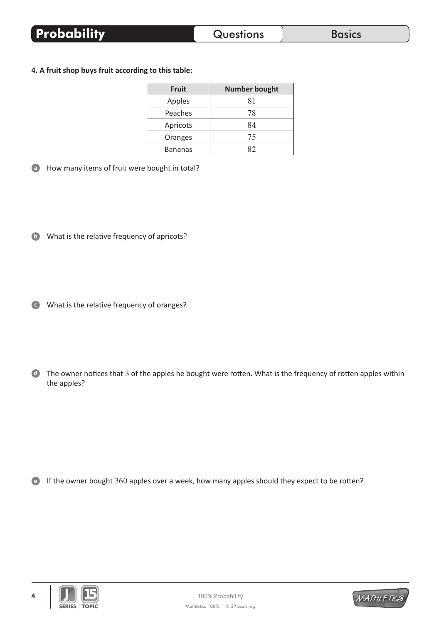#### 4. A fruit shop buys fruit according to this table:

| <b>Fruit</b>   | <b>Number bought</b> |  |  |
|----------------|----------------------|--|--|
| Apples         | 81                   |  |  |
| Peaches        | 78                   |  |  |
| Apricots       | 84                   |  |  |
| Oranges        | 75                   |  |  |
| <b>Bananas</b> |                      |  |  |

How many items of fruit were bought in total?

**D** What is the relative frequency of apricots?

• What is the relative frequency of oranges?

The owner notices that 3 of the apples he bought were rotten. What is the frequency of rotten apples within the apples?

<sup>e</sup> If the owner bought 360 apples over a week, how many apples should they expect to be rotten?



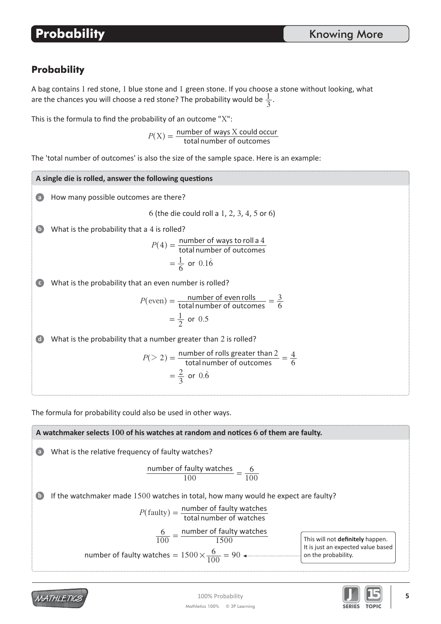A bag contains 1 red stone, 1 blue stone and 1 green stone. If you choose a stone without looking, what are the chances you will choose a red stone? The probability would be  $\frac{1}{3}$ .

This is the formula to find the probability of an outcome "X":

 $P(X) = \frac{\text{number of ways } X \text{ could occur}}{\text{total number of outcomes}}$ 

The 'total number of outcomes' is also the size of the sample space. Here is an example:

How many possible outcomes are there? What is the probability that a 4 is rolled? What is the probability that an even number is rolled? What is the probability that a number greater than 2 is rolled? 6 (the die could roll a 1, 2, 3, 4, 5 or 6) **Ă ď Đ d** A single die is rolled, answer the following questions total number of outcomes  $P(4) = \frac{\text{number of ways to roll a 4}}{\text{total number of outcomes}}$  $=$  $\frac{1}{6}$  or 0.16 total number of outcomes  $P(\text{even}) = \frac{\text{number of even rolls}}{\text{total number of outcomes}} = \frac{3}{6}$  $=\frac{1}{2}$  or 0.5 total number of outcomes  $P(> 2) = \frac{\text{number of rolls greater than } 2}{\text{total number of outcomes}} = \frac{4}{6}$  $=\frac{2}{3}$  or 0.6  $(> 2) = \frac{\text{number of rolls greater than 2}}{\text{total number of outcomes}} = \frac{4}{6}$ 

The formula for probability could also be used in other ways.

**A watchmaker selects** 100 of his watches at random and notices 6 of them are faulty.

\nWhat is the relative frequency of faulty watches?

\n

| number of faulty watches |     |
|--------------------------|-----|
| 100                      | 100 |

\nIf the watchmaker made 1500 watches in total, how many would he expect are faulty?

\n
$$
P(faulty) = \frac{number of faulty watches}{total number of watches}
$$

\n
$$
\frac{6}{100} = \frac{number of faulty watches}{1500}
$$

\nThis will not definitely happen.

\nIt is just an expected value based on the probability.



MATHLETICS

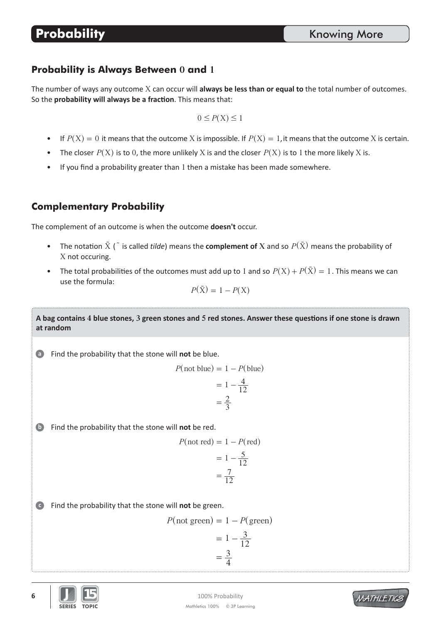#### **Probability is Always Between 0 and 1**

The number of ways any outcome X can occur will **always be less than or equal to** the total number of outcomes. So the **probability will always be a fraction**. This means that:

$$
0 \le P(X) \le 1
$$

- If  $P(X) = 0$  it means that the outcome X is impossible. If  $P(X) = 1$ , it means that the outcome X is certain.
- The closer  $P(X)$  is to 0, the more unlikely X is and the closer  $P(X)$  is to 1 the more likely X is.
- If you find a probability greater than 1 then a mistake has been made somewhere.

### **Complementary Probability**

The complement of an outcome is when the outcome **doesn't** occur.

- The notation  $\tilde{X}$  ( $\tilde{a}$  is called *tilde*) means the **complement of**  $X$  and so  $P(\tilde{X})$  means the probability of X not occuring.
- The total probabilities of the outcomes must add up to 1 and so  $P(X) + P(\tilde{X}) = 1$ . This means we can use the formula:

$$
P(\tilde{\mathbf{X}}) = 1 - P(\mathbf{X})
$$

A bag contains 4 blue stones, 3 green stones and 5 red stones. Answer these questions if one stone is drawn at random

Find the probability that the stone will not be blue. **Ă**

$$
P(\text{not blue}) = 1 - P(\text{blue})
$$

$$
= 1 - \frac{4}{12}
$$

$$
= \frac{2}{3}
$$

**b** Find the probability that the stone will not be red.

$$
P(\text{not red}) = 1 - P(\text{red})
$$

$$
= 1 - \frac{5}{12}
$$

$$
= \frac{7}{12}
$$

 $\bullet$  Find the probability that the stone will not be green.

$$
P(\text{not green}) = 1 - P(\text{green})
$$

$$
= 1 - \frac{3}{12}
$$

$$
= \frac{3}{4}
$$



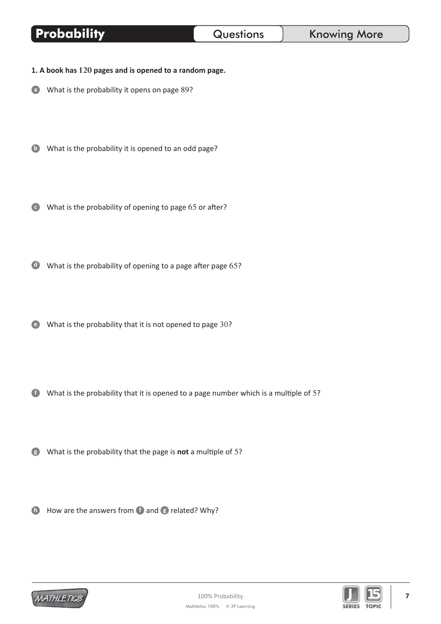# Questions

- 1. A book has 120 pages and is opened to a random page.
- a What is the probability it opens on page 89?

Probability

- **D** What is the probability it is opened to an odd page?
- What is the probability of opening to page 65 or after?
- What is the probability of opening to a page after page 65?
- What is the probability that it is not opened to page 30?
- (f) What is the probability that it is opened to a page number which is a multiple of 5?
- **8** What is the probability that the page is not a multiple of 5?
- **ID** How are the answers from **D** and **B** related? Why?



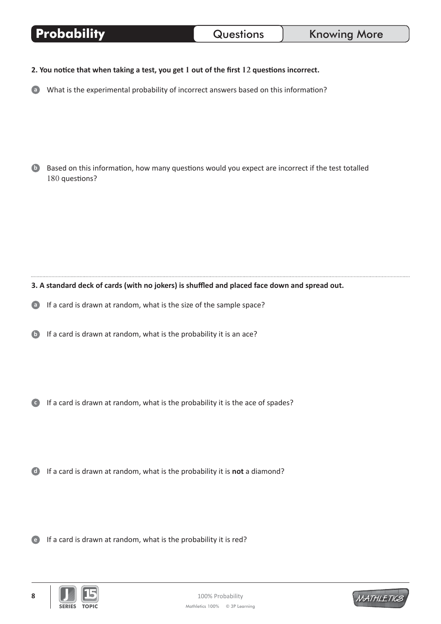| <b>Probability</b> |  |
|--------------------|--|
|--------------------|--|

2. You notice that when taking a test, you get 1 out of the first 12 questions incorrect.

a What is the experimental probability of incorrect answers based on this information?

**D** Based on this information, how many questions would you expect are incorrect if the test totalled 180 questions?

3. A standard deck of cards (with no jokers) is shuffled and placed face down and spread out.

a If a card is drawn at random, what is the size of the sample space?

**b** If a card is drawn at random, what is the probability it is an ace?

**C** If a card is drawn at random, what is the probability it is the ace of spades?

**If a card is drawn at random, what is the probability it is not a diamond?** 

 $\bullet$  If a card is drawn at random, what is the probability it is red?



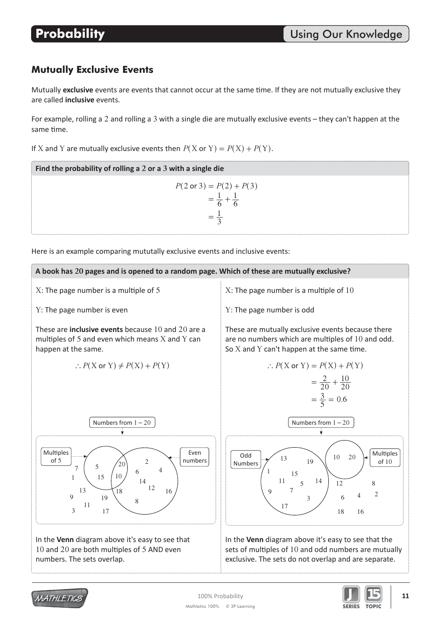## **Mutually Exclusive Events**

Mutually exclusive events are events that cannot occur at the same time. If they are not mutually exclusive they are called *inclusive* events.

For example, rolling a 2 and rolling a 3 with a single die are mutually exclusive events - they can't happen at the same time.

If X and Y are mutually exclusive events then  $P(X \text{ or } Y) = P(X) + P(Y)$ .

**Example 1 Example 2 example 2 a**  $\frac{1}{2}$  **a**  $\frac{1}{2}$  **a**  $\frac{1}{2}$  **a**  $\frac{1}{2}$  **a**  $\frac{1}{2}$  **a**  $\frac{1}{2}$  **a**  $\frac{1}{2}$  **a**  $\frac{1}{2}$  **a**  $\frac{1}{2}$  **a**  $\frac{1}{2}$  **a**  $\frac{1}{2}$  **a**  $\frac{1}{2}$  **a**  $\frac{1}{2}$  **a**

$$
P(2 \text{ or } 3) = P(2) + P(3)
$$
  
=  $\frac{1}{6} + \frac{1}{6}$   
=  $\frac{1}{3}$ 

Here is an example comparing mututally exclusive events and inclusive events:





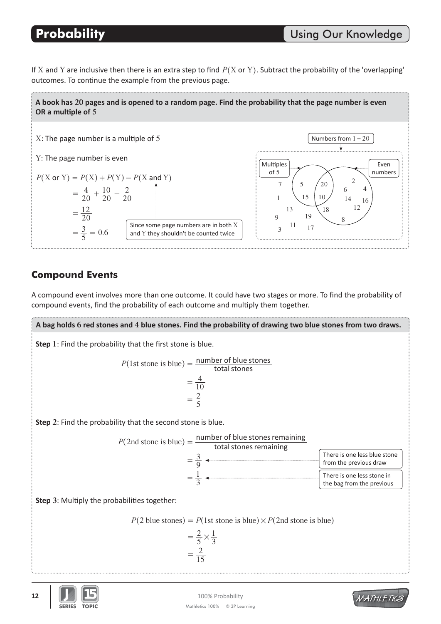If X and Y are inclusive then there is an extra step to find  $P(X \text{ or } Y)$ . Subtract the probability of the 'overlapping' outcomes. To continue the example from the previous page.

A book has 20 pages and is opened to a random page. Find the probability that the page number is even **OR** a multiple of 5



# **Compound Events**

A compound event involves more than one outcome. It could have two stages or more. To find the probability of compound events, find the probability of each outcome and multiply them together.

**Step 1**: Find the probability that the first stone is blue. **Step** 2: Find the probability that the second stone is blue. **Step 3: Multiply the probabilities together:** A bag holds 6 red stones and 4 blue stones. Find the probability of drawing two blue stones from two draws.  $P(1st stone is blue) = \frac{number of blue stones}{total stones}$ 10  $=\frac{4}{10}$ 5  $=\frac{2}{5}$  $P(2nd stone is blue) = \frac{number of blue stones remaining total stones remaining$ 9  $=\frac{3}{2}$ 3  $=\frac{1}{2}$ There is one less blue stone from the previous draw There is one less stone in the bag from the previous  $P(2 \text{ blue stones}) = P(\text{1st stone is blue}) \times P(\text{2nd stone is blue})$ 5 2 3  $=\frac{2}{5}\times\frac{1}{2}$ 15  $=\frac{2}{13}$ 



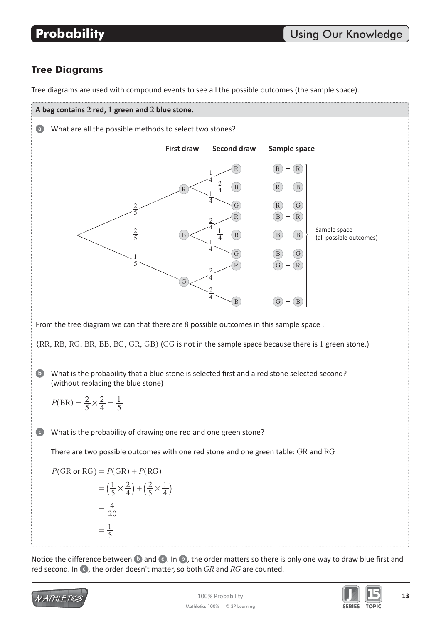## **Tree Diagrams**

Tree diagrams are used with compound events to see all the possible outcomes (the sample space).





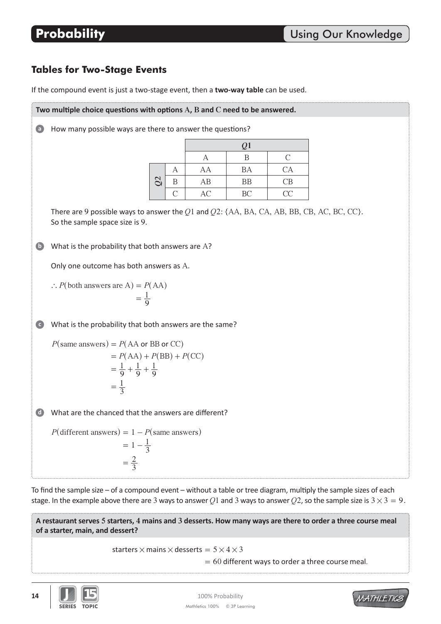# **Tables for Two-Stage Events**

If the compound event is just a two-stage event, then a two-way table can be used.

Two multiple choice questions with options A, B and C need to be answered. a) How many possible ways are there to answer the questions? What is the probability that both answers are A? What is the probability that both answers are the same? What are the chanced that the answers are different? Only one outcome has both answers as A. There are 9 possible ways to answer the  $Q1$  and  $Q2$ :  $\{AA, BA, CA, AB, BB, CB, AC, BC, CC\}$ . So the sample space size is 9. **ď Đ d** *Q***1** A B C *Q***2** A | AA | BA | CA B | AB | BB | CB C AC BC CC  $\therefore$  *P*(both answers are A) = *P*(AA) 9  $=\frac{1}{0}$  $P(\text{same answers}) = P(\text{AA or BB or CC})$  $= P(AA) + P(BB) + P(CC)$ 9 1 9 1 9  $=\frac{1}{0}+\frac{1}{0}+\frac{1}{0}$ 3  $=\frac{1}{2}$  $P(\text{different answers}) = 1 - P(\text{same answers})$  $= 1 - \frac{1}{3}$ 3  $=\frac{2}{2}$ 

To find the sample size – of a compound event – without a table or tree diagram, multiply the sample sizes of each stage. In the example above there are 3 ways to answer Q1 and 3 ways to answer Q2, so the sample size is  $3 \times 3 = 9$ .

A restaurant serves 5 starters, 4 mains and 3 desserts. How many ways are there to order a three course meal of a starter, main, and dessert?

starters  $\times$  mains  $\times$  desserts =  $5\times4\times3$ 

 $= 60$  different ways to order a three course meal. 



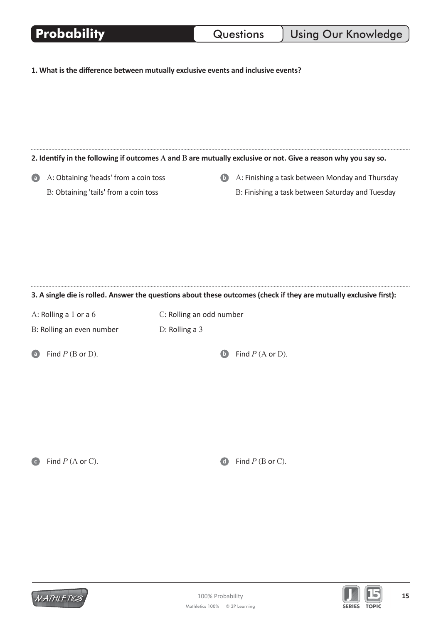| <b>Probability</b>                                                                                                 |                          | Questions                                                                                           | <b>Using Our Knowledge</b> |  |  |  |  |
|--------------------------------------------------------------------------------------------------------------------|--------------------------|-----------------------------------------------------------------------------------------------------|----------------------------|--|--|--|--|
| 1. What is the difference between mutually exclusive events and inclusive events?                                  |                          |                                                                                                     |                            |  |  |  |  |
| 2. Identify in the following if outcomes $A$ and $B$ are mutually exclusive or not. Give a reason why you say so.  |                          |                                                                                                     |                            |  |  |  |  |
| A: Obtaining 'heads' from a coin toss<br>$\bullet$<br>B: Obtaining 'tails' from a coin toss                        | $\bullet$                | A: Finishing a task between Monday and Thursday<br>B: Finishing a task between Saturday and Tuesday |                            |  |  |  |  |
| 3. A single die is rolled. Answer the questions about these outcomes (check if they are mutually exclusive first): |                          |                                                                                                     |                            |  |  |  |  |
| A: Rolling a 1 or a 6                                                                                              | C: Rolling an odd number |                                                                                                     |                            |  |  |  |  |
| B: Rolling an even number                                                                                          | D: Rolling a 3           |                                                                                                     |                            |  |  |  |  |
| Find $P$ (B or D).<br>$\Box$                                                                                       | $\bullet$                | Find $P(A$ or D).                                                                                   |                            |  |  |  |  |
| Find $P(A$ or C).                                                                                                  | $\blacksquare$           | Find $P$ (B or C).                                                                                  |                            |  |  |  |  |



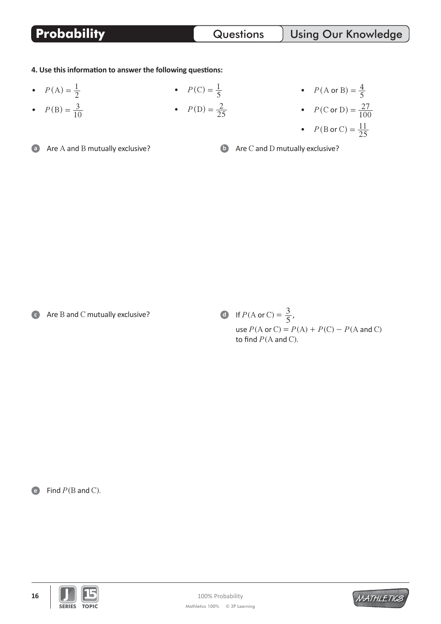4. Use this information to answer the following questions:

- $P(A) = \frac{1}{2}$
- $P(B) = \frac{3}{10}$

**Probability**

•  $P(C) = \frac{1}{5}$ •  $P(D) = \frac{2}{25}$ 

• 
$$
P(A \text{ or } B) = \frac{4}{5}
$$
  
\n•  $P(C \text{ or } D) = \frac{27}{100}$   
\n•  $P(B \text{ or } C) = \frac{11}{25}$ 

**a** Are A and B mutually exclusive?

 $\bullet$  Are C and D mutually exclusive?

c Are B and C mutually exclusive?

**d** If  $P(A \text{ or } C) = \frac{3}{5}$ , use  $P(A \text{ or } C) = P(A) + P(C) - P(A \text{ and } C)$ to find  $P(A \text{ and } C)$ .

**e** Find  $P$ (B and C).



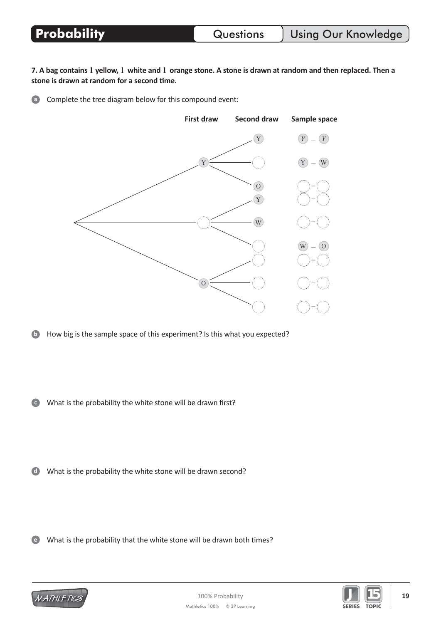Questions

7. A bag contains 1 yellow, 1 white and 1 orange stone. A stone is drawn at random and then replaced. Then a stone is drawn at random for a second time.

**a** Complete the tree diagram below for this compound event:



(b) How big is the sample space of this experiment? Is this what you expected?

O What is the probability the white stone will be drawn first?

(b) What is the probability the white stone will be drawn second?

(e) What is the probability that the white stone will be drawn both times?





19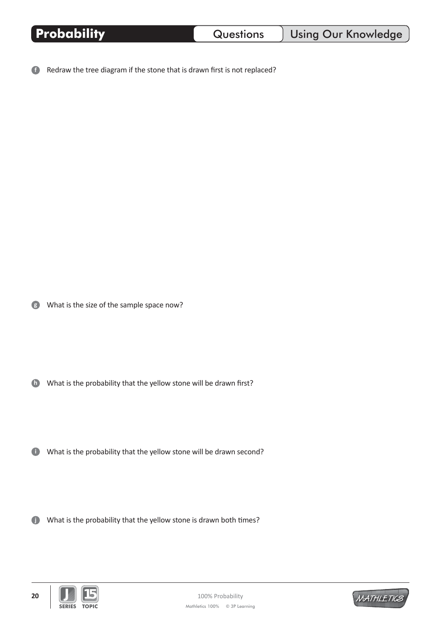Redraw the tree diagram if the stone that is drawn first is not replaced?  $\bullet$ 

What is the size of the sample space now?

**ID** What is the probability that the yellow stone will be drawn first?

What is the probability that the yellow stone will be drawn second?

What is the probability that the yellow stone is drawn both times?